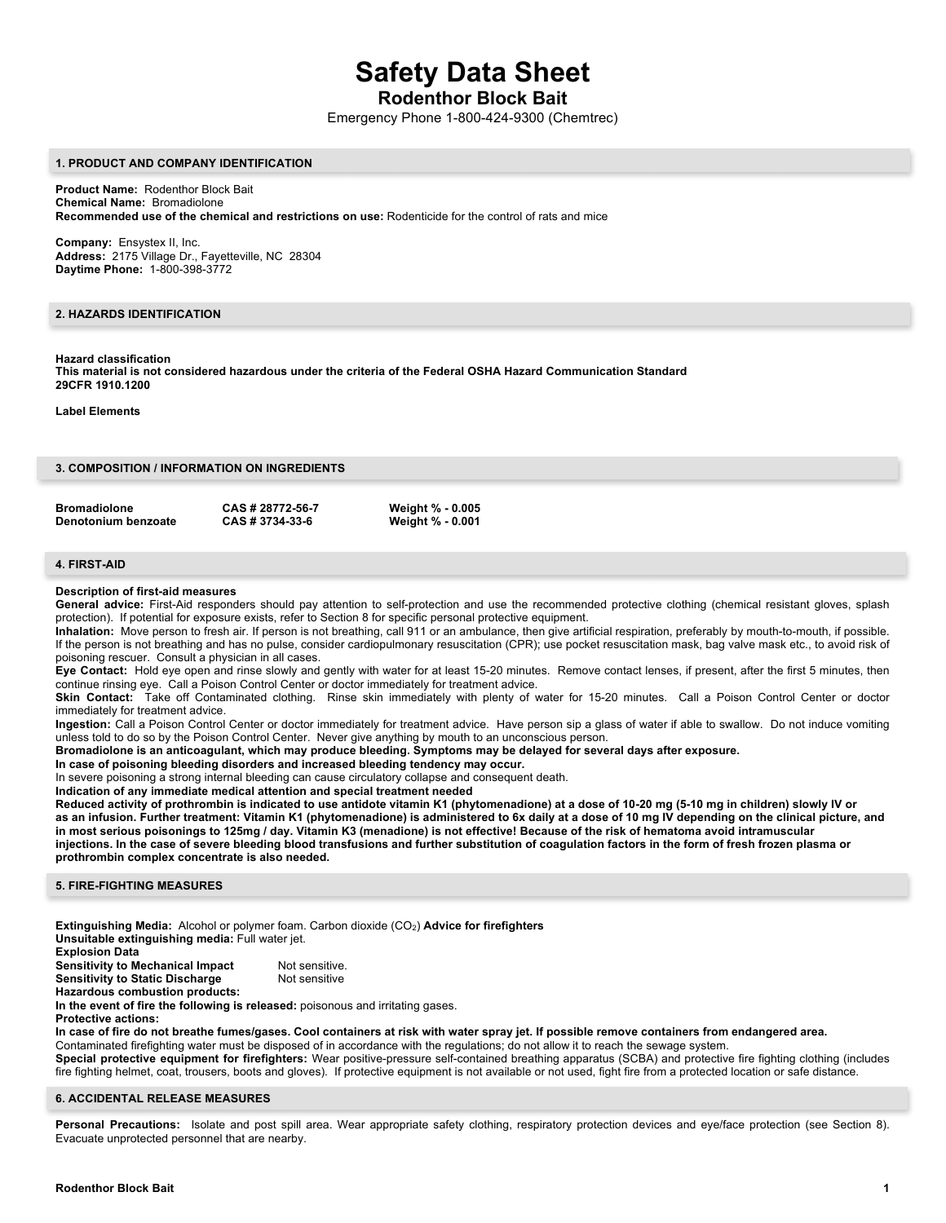# **Safety Data Sheet**

## **Rodenthor Block Bait**

Emergency Phone 1-800-424-9300 (Chemtrec)

## **1. PRODUCT AND COMPANY IDENTIFICATION**

**Product Name:** Rodenthor Block Bait **Chemical Name:** Bromadiolone **Recommended use of the chemical and restrictions on use:** Rodenticide for the control of rats and mice

**Company:** Ensystex II, Inc. **Address:** 2175 Village Dr., Fayetteville, NC 28304 **Daytime Phone:** 1-800-398-3772

## **2. HAZARDS IDENTIFICATION**

**Hazard classification**

**This material is not considered hazardous under the criteria of the Federal OSHA Hazard Communication Standard 29CFR 1910.1200**

**Label Elements**

| <b>3. COMPOSITION / INFORMATION ON INGREDIENTS</b> |
|----------------------------------------------------|
|----------------------------------------------------|

| Bromadiolone        | CAS # 28772-56-7 | Weight % - 0.005        |
|---------------------|------------------|-------------------------|
| Denotonium benzoate | CAS # 3734-33-6  | <b>Weight % - 0.001</b> |

## **4. FIRST-AID**

#### **Description of first-aid measures**

General advice: First-Aid responders should pay attention to self-protection and use the recommended protective clothing (chemical resistant gloves, splash protection). If potential for exposure exists, refer to Section 8 for specific personal protective equipment.

**Inhalation:** Move person to fresh air. If person is not breathing, call 911 or an ambulance, then give artificial respiration, preferably by mouth-to-mouth, if possible. If the person is not breathing and has no pulse, consider cardiopulmonary resuscitation (CPR); use pocket resuscitation mask, bag valve mask etc., to avoid risk of poisoning rescuer. Consult a physician in all cases.

**Eye Contact:** Hold eye open and rinse slowly and gently with water for at least 15-20 minutes. Remove contact lenses, if present, after the first 5 minutes, then continue rinsing eye. Call a Poison Control Center or doctor immediately for treatment advice.

Skin Contact: Take off Contaminated clothing. Rinse skin immediately with plenty of water for 15-20 minutes. Call a Poison Control Center or doctor immediately for treatment advice.

**Ingestion:** Call a Poison Control Center or doctor immediately for treatment advice. Have person sip a glass of water if able to swallow. Do not induce vomiting unless told to do so by the Poison Control Center. Never give anything by mouth to an unconscious person.

**Bromadiolone is an anticoagulant, which may produce bleeding. Symptoms may be delayed for several days after exposure.**

#### **In case of poisoning bleeding disorders and increased bleeding tendency may occur.**

In severe poisoning a strong internal bleeding can cause circulatory collapse and consequent death.

**Indication of any immediate medical attention and special treatment needed**

**Reduced activity of prothrombin is indicated to use antidote vitamin K1 (phytomenadione) at a dose of 10-20 mg (5-10 mg in children) slowly IV or as an infusion. Further treatment: Vitamin K1 (phytomenadione) is administered to 6x daily at a dose of 10 mg IV depending on the clinical picture, and in most serious poisonings to 125mg / day. Vitamin K3 (menadione) is not effective! Because of the risk of hematoma avoid intramuscular injections. In the case of severe bleeding blood transfusions and further substitution of coagulation factors in the form of fresh frozen plasma or prothrombin complex concentrate is also needed.**

## **5. FIRE-FIGHTING MEASURES**

**Extinguishing Media:** Alcohol or polymer foam. Carbon dioxide (CO2) **Advice for firefighters Unsuitable extinguishing media:** Full water jet.

**Explosion Data**

**Sensitivity to Mechanical Impact** Not sensitive. **Sensitivity to Static Discharge Mot sensitive** 

**Hazardous combustion products:**

**In the event of fire the following is released:** poisonous and irritating gases.

**Protective actions:**

**In case of fire do not breathe fumes/gases. Cool containers at risk with water spray jet. If possible remove containers from endangered area.** Contaminated firefighting water must be disposed of in accordance with the regulations; do not allow it to reach the sewage system.

**Special protective equipment for firefighters:** Wear positive-pressure self-contained breathing apparatus (SCBA) and protective fire fighting clothing (includes fire fighting helmet, coat, trousers, boots and gloves). If protective equipment is not available or not used, fight fire from a protected location or safe distance.

#### **6. ACCIDENTAL RELEASE MEASURES**

Personal Precautions: Isolate and post spill area. Wear appropriate safety clothing, respiratory protection devices and eye/face protection (see Section 8). Evacuate unprotected personnel that are nearby.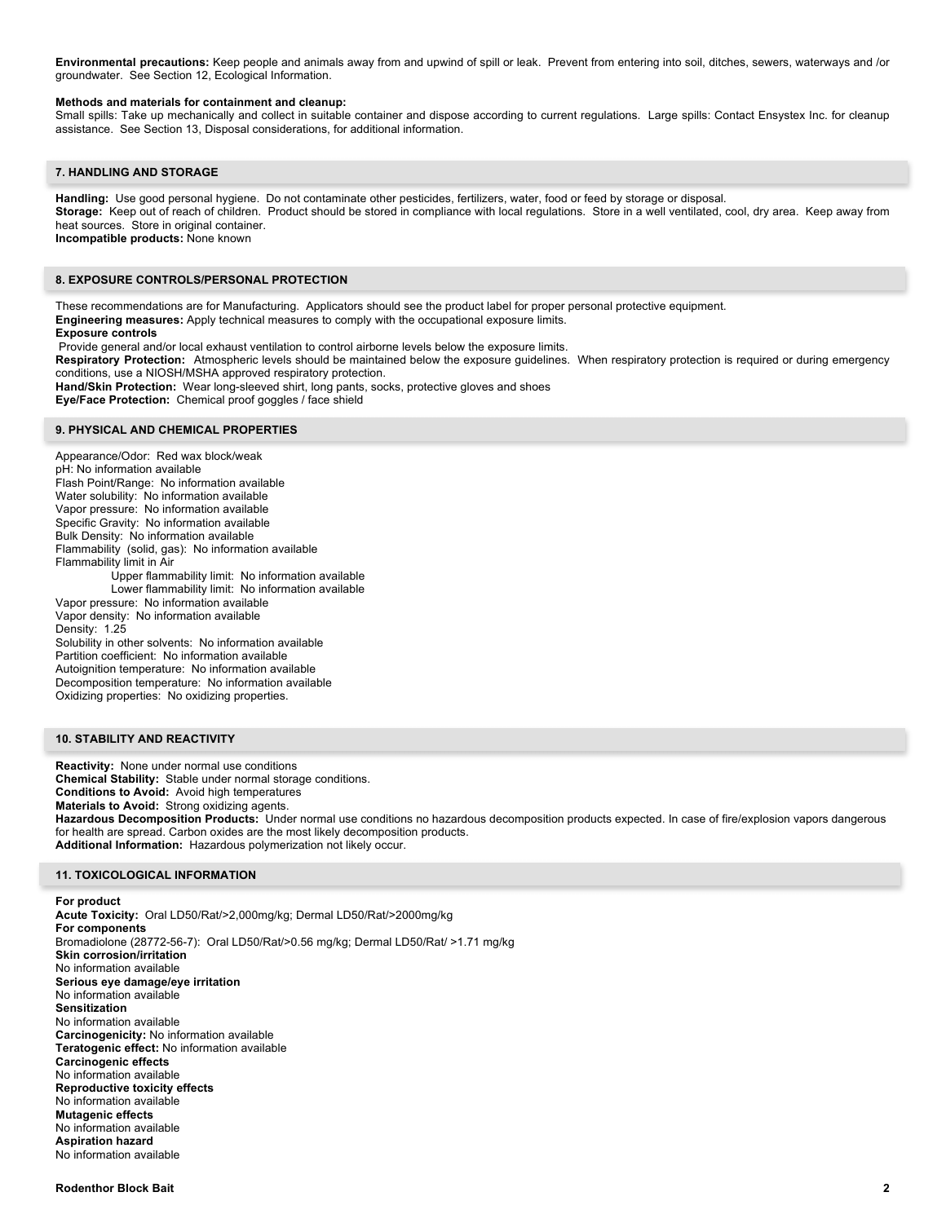**Environmental precautions:** Keep people and animals away from and upwind of spill or leak. Prevent from entering into soil, ditches, sewers, waterways and /or groundwater. See Section 12, Ecological Information.

## **Methods and materials for containment and cleanup:**

Small spills: Take up mechanically and collect in suitable container and dispose according to current regulations. Large spills: Contact Ensystex Inc. for cleanup assistance. See Section 13, Disposal considerations, for additional information.

### **7. HANDLING AND STORAGE**

**Handling:** Use good personal hygiene. Do not contaminate other pesticides, fertilizers, water, food or feed by storage or disposal. **Storage:** Keep out of reach of children. Product should be stored in compliance with local regulations. Store in a well ventilated, cool, dry area. Keep away from heat sources. Store in original container. **Incompatible products:** None known

## **8. EXPOSURE CONTROLS/PERSONAL PROTECTION**

These recommendations are for Manufacturing. Applicators should see the product label for proper personal protective equipment. **Engineering measures:** Apply technical measures to comply with the occupational exposure limits.

### **Exposure controls**

Provide general and/or local exhaust ventilation to control airborne levels below the exposure limits.

**Respiratory Protection:** Atmospheric levels should be maintained below the exposure guidelines. When respiratory protection is required or during emergency conditions, use a NIOSH/MSHA approved respiratory protection.

**Hand/Skin Protection:** Wear long-sleeved shirt, long pants, socks, protective gloves and shoes

**Eye/Face Protection:** Chemical proof goggles / face shield

## **9. PHYSICAL AND CHEMICAL PROPERTIES**

Appearance/Odor: Red wax block/weak pH: No information available Flash Point/Range: No information available Water solubility: No information available Vapor pressure: No information available Specific Gravity: No information available Bulk Density: No information available Flammability (solid, gas): No information available Flammability limit in Air Upper flammability limit: No information available Lower flammability limit: No information available Vapor pressure: No information available Vapor density: No information available Density: 1.25 Solubility in other solvents: No information available Partition coefficient: No information available Autoignition temperature: No information available Decomposition temperature: No information available Oxidizing properties: No oxidizing properties.

## **10. STABILITY AND REACTIVITY**

**Reactivity:** None under normal use conditions **Chemical Stability:** Stable under normal storage conditions. **Conditions to Avoid:** Avoid high temperatures **Materials to Avoid:** Strong oxidizing agents. **Hazardous Decomposition Products:** Under normal use conditions no hazardous decomposition products expected. In case of fire/explosion vapors dangerous for health are spread. Carbon oxides are the most likely decomposition products. **Additional Information:** Hazardous polymerization not likely occur.

### **11. TOXICOLOGICAL INFORMATION**

## **For product**

**Acute Toxicity:** Oral LD50/Rat/>2,000mg/kg; Dermal LD50/Rat/>2000mg/kg **For components** Bromadiolone (28772-56-7): Oral LD50/Rat/>0.56 mg/kg; Dermal LD50/Rat/ >1.71 mg/kg **Skin corrosion/irritation** No information available **Serious eye damage/eye irritation** No information available **Sensitization** No information available **Carcinogenicity:** No information available **Teratogenic effect:** No information available **Carcinogenic effects** No information available **Reproductive toxicity effects** No information available **Mutagenic effects** No information available **Aspiration hazard** No information available